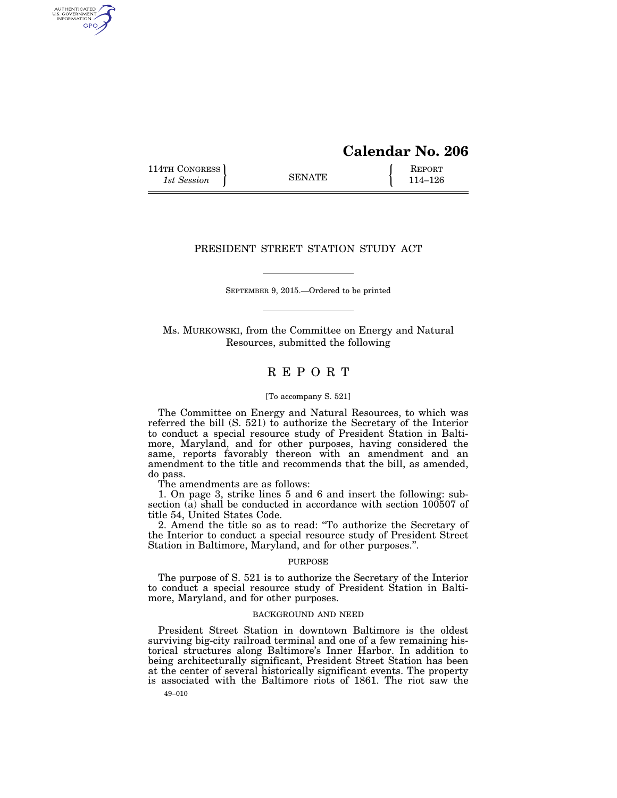# **Calendar No. 206**

114TH CONGRESS **REPORT** 114 SENATE **REPORT** 

AUTHENTICATED<br>U.S. GOVERNMENT<br>INFORMATION GPO

## PRESIDENT STREET STATION STUDY ACT

SEPTEMBER 9, 2015.—Ordered to be printed

Ms. MURKOWSKI, from the Committee on Energy and Natural Resources, submitted the following

## R E P O R T

#### [To accompany S. 521]

The Committee on Energy and Natural Resources, to which was referred the bill (S. 521) to authorize the Secretary of the Interior to conduct a special resource study of President Station in Baltimore, Maryland, and for other purposes, having considered the same, reports favorably thereon with an amendment and an amendment to the title and recommends that the bill, as amended, do pass.

The amendments are as follows:

1. On page 3, strike lines 5 and 6 and insert the following: subsection (a) shall be conducted in accordance with section 100507 of title 54, United States Code.

2. Amend the title so as to read: ''To authorize the Secretary of the Interior to conduct a special resource study of President Street Station in Baltimore, Maryland, and for other purposes.''.

## PURPOSE

The purpose of S. 521 is to authorize the Secretary of the Interior to conduct a special resource study of President Station in Baltimore, Maryland, and for other purposes.

## BACKGROUND AND NEED

49–010 President Street Station in downtown Baltimore is the oldest surviving big-city railroad terminal and one of a few remaining historical structures along Baltimore's Inner Harbor. In addition to being architecturally significant, President Street Station has been at the center of several historically significant events. The property is associated with the Baltimore riots of 1861. The riot saw the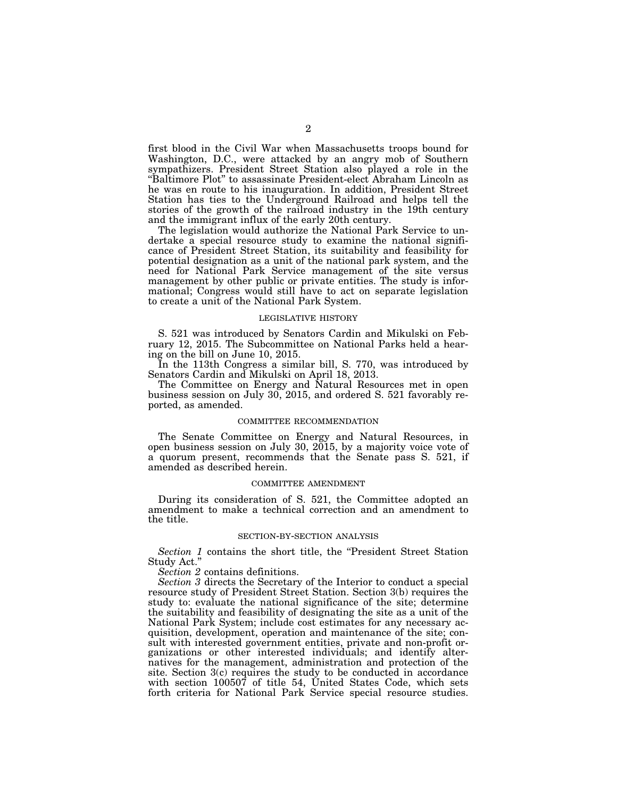first blood in the Civil War when Massachusetts troops bound for Washington, D.C., were attacked by an angry mob of Southern sympathizers. President Street Station also played a role in the ''Baltimore Plot'' to assassinate President-elect Abraham Lincoln as he was en route to his inauguration. In addition, President Street Station has ties to the Underground Railroad and helps tell the stories of the growth of the railroad industry in the 19th century and the immigrant influx of the early 20th century.

The legislation would authorize the National Park Service to undertake a special resource study to examine the national significance of President Street Station, its suitability and feasibility for potential designation as a unit of the national park system, and the need for National Park Service management of the site versus management by other public or private entities. The study is informational; Congress would still have to act on separate legislation to create a unit of the National Park System.

#### LEGISLATIVE HISTORY

S. 521 was introduced by Senators Cardin and Mikulski on February 12, 2015. The Subcommittee on National Parks held a hearing on the bill on June 10, 2015.

In the 113th Congress a similar bill, S. 770, was introduced by Senators Cardin and Mikulski on April 18, 2013.

The Committee on Energy and Natural Resources met in open business session on July 30, 2015, and ordered S. 521 favorably reported, as amended.

### COMMITTEE RECOMMENDATION

The Senate Committee on Energy and Natural Resources, in open business session on July 30, 2015, by a majority voice vote of a quorum present, recommends that the Senate pass S. 521, if amended as described herein.

#### COMMITTEE AMENDMENT

During its consideration of S. 521, the Committee adopted an amendment to make a technical correction and an amendment to the title.

#### SECTION-BY-SECTION ANALYSIS

*Section 1* contains the short title, the ''President Street Station Study Act.''

*Section 2* contains definitions.

*Section 3* directs the Secretary of the Interior to conduct a special resource study of President Street Station. Section 3(b) requires the study to: evaluate the national significance of the site; determine the suitability and feasibility of designating the site as a unit of the National Park System; include cost estimates for any necessary acquisition, development, operation and maintenance of the site; consult with interested government entities, private and non-profit organizations or other interested individuals; and identify alternatives for the management, administration and protection of the site. Section 3(c) requires the study to be conducted in accordance with section 100507 of title 54, United States Code, which sets forth criteria for National Park Service special resource studies.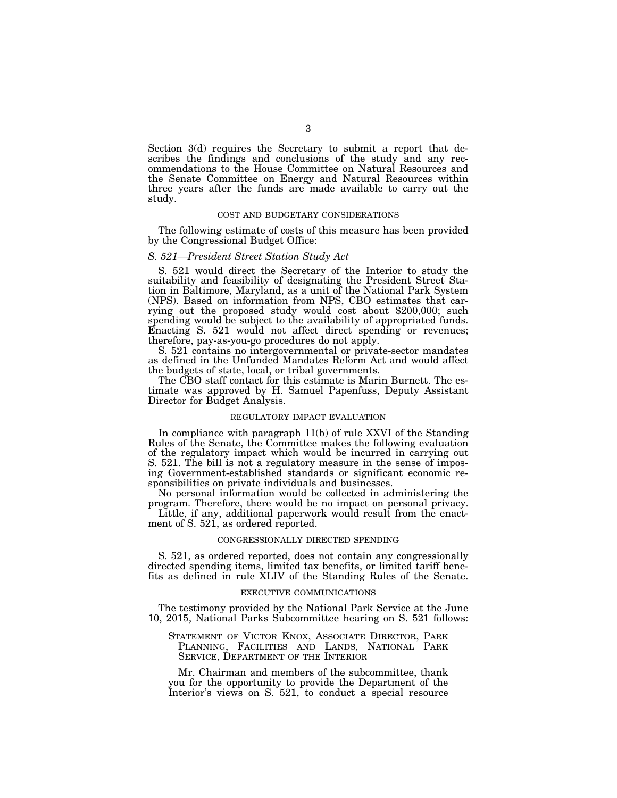Section 3(d) requires the Secretary to submit a report that describes the findings and conclusions of the study and any recommendations to the House Committee on Natural Resources and the Senate Committee on Energy and Natural Resources within three years after the funds are made available to carry out the study.

### COST AND BUDGETARY CONSIDERATIONS

The following estimate of costs of this measure has been provided by the Congressional Budget Office:

## *S. 521—President Street Station Study Act*

S. 521 would direct the Secretary of the Interior to study the suitability and feasibility of designating the President Street Station in Baltimore, Maryland, as a unit of the National Park System (NPS). Based on information from NPS, CBO estimates that carrying out the proposed study would cost about \$200,000; such spending would be subject to the availability of appropriated funds. Enacting S. 521 would not affect direct spending or revenues; therefore, pay-as-you-go procedures do not apply.

S. 521 contains no intergovernmental or private-sector mandates as defined in the Unfunded Mandates Reform Act and would affect the budgets of state, local, or tribal governments.

The CBO staff contact for this estimate is Marin Burnett. The estimate was approved by H. Samuel Papenfuss, Deputy Assistant Director for Budget Analysis.

#### REGULATORY IMPACT EVALUATION

In compliance with paragraph 11(b) of rule XXVI of the Standing Rules of the Senate, the Committee makes the following evaluation of the regulatory impact which would be incurred in carrying out S. 521. The bill is not a regulatory measure in the sense of imposing Government-established standards or significant economic responsibilities on private individuals and businesses.

No personal information would be collected in administering the program. Therefore, there would be no impact on personal privacy.

Little, if any, additional paperwork would result from the enactment of S. 521, as ordered reported.

#### CONGRESSIONALLY DIRECTED SPENDING

S. 521, as ordered reported, does not contain any congressionally directed spending items, limited tax benefits, or limited tariff benefits as defined in rule XLIV of the Standing Rules of the Senate.

#### EXECUTIVE COMMUNICATIONS

The testimony provided by the National Park Service at the June 10, 2015, National Parks Subcommittee hearing on S. 521 follows:

## STATEMENT OF VICTOR KNOX, ASSOCIATE DIRECTOR, PARK PLANNING, FACILITIES AND LANDS, NATIONAL PARK SERVICE, DEPARTMENT OF THE INTERIOR

Mr. Chairman and members of the subcommittee, thank you for the opportunity to provide the Department of the Interior's views on S. 521, to conduct a special resource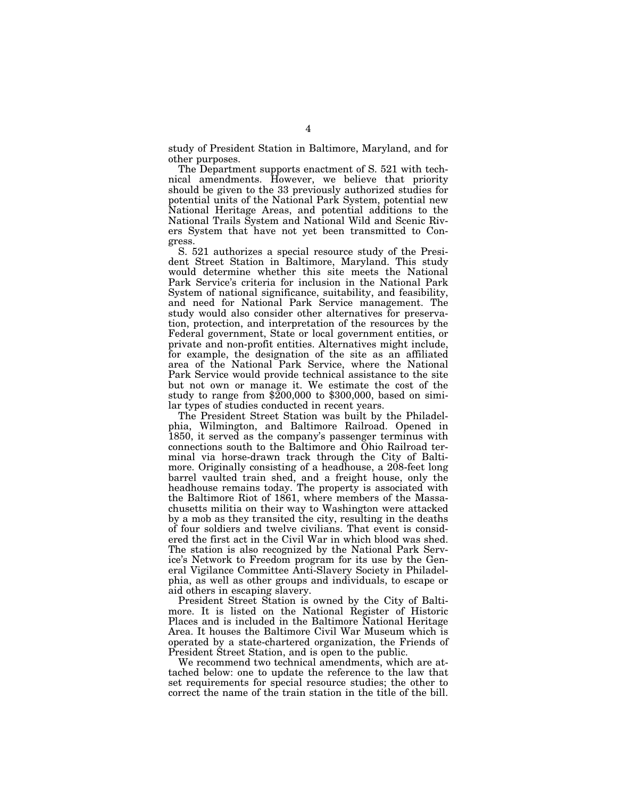study of President Station in Baltimore, Maryland, and for other purposes.

The Department supports enactment of S. 521 with technical amendments. However, we believe that priority should be given to the 33 previously authorized studies for potential units of the National Park System, potential new National Heritage Areas, and potential additions to the National Trails System and National Wild and Scenic Rivers System that have not yet been transmitted to Congress.

S. 521 authorizes a special resource study of the President Street Station in Baltimore, Maryland. This study would determine whether this site meets the National Park Service's criteria for inclusion in the National Park System of national significance, suitability, and feasibility, and need for National Park Service management. The study would also consider other alternatives for preservation, protection, and interpretation of the resources by the Federal government, State or local government entities, or private and non-profit entities. Alternatives might include, for example, the designation of the site as an affiliated area of the National Park Service, where the National Park Service would provide technical assistance to the site but not own or manage it. We estimate the cost of the study to range from \$200,000 to \$300,000, based on similar types of studies conducted in recent years.

The President Street Station was built by the Philadelphia, Wilmington, and Baltimore Railroad. Opened in 1850, it served as the company's passenger terminus with connections south to the Baltimore and Ohio Railroad terminal via horse-drawn track through the City of Baltimore. Originally consisting of a headhouse, a 208-feet long barrel vaulted train shed, and a freight house, only the headhouse remains today. The property is associated with the Baltimore Riot of 1861, where members of the Massachusetts militia on their way to Washington were attacked by a mob as they transited the city, resulting in the deaths of four soldiers and twelve civilians. That event is considered the first act in the Civil War in which blood was shed. The station is also recognized by the National Park Service's Network to Freedom program for its use by the General Vigilance Committee Anti-Slavery Society in Philadelphia, as well as other groups and individuals, to escape or aid others in escaping slavery.

President Street Station is owned by the City of Baltimore. It is listed on the National Register of Historic Places and is included in the Baltimore National Heritage Area. It houses the Baltimore Civil War Museum which is operated by a state-chartered organization, the Friends of President Street Station, and is open to the public.

We recommend two technical amendments, which are attached below: one to update the reference to the law that set requirements for special resource studies; the other to correct the name of the train station in the title of the bill.